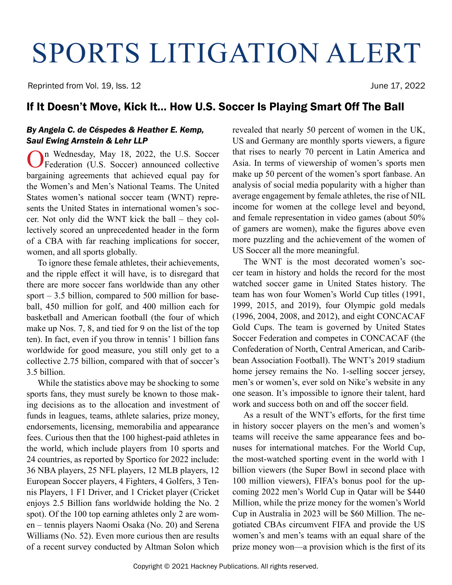# SPORTS LITIGATION ALERT

Reprinted from Vol. 19, Iss. 12 **Secure 19, 2022** June 17, 2022

### If It Doesn't Move, Kick It… How U.S. Soccer Is Playing Smart Off The Ball

#### *By Angela C. de Céspedes & Heather E. Kemp, Saul Ewing Arnstein & Lehr LLP*

On Wednesday, May 18, 2022, the U.S. Soccer Federation (U.S. Soccer) announced collective bargaining agreements that achieved equal pay for the Women's and Men's National Teams. The United States women's national soccer team (WNT) represents the United States in international women's soccer. Not only did the WNT kick the ball – they collectively scored an unprecedented header in the form of a CBA with far reaching implications for soccer, women, and all sports globally.

To ignore these female athletes, their achievements, and the ripple effect it will have, is to disregard that there are more soccer fans worldwide than any other sport  $-3.5$  billion, compared to 500 million for baseball, 450 million for golf, and 400 million each for basketball and American football (the four of which make up Nos. 7, 8, and tied for 9 on the list of the top ten). In fact, even if you throw in tennis' 1 billion fans worldwide for good measure, you still only get to a collective 2.75 billion, compared with that of soccer's 3.5 billion.

While the statistics above may be shocking to some sports fans, they must surely be known to those making decisions as to the allocation and investment of funds in leagues, teams, athlete salaries, prize money, endorsements, licensing, memorabilia and appearance fees. Curious then that the 100 highest-paid athletes in the world, which include players from 10 sports and 24 countries, as reported by Sportico for 2022 include: 36 NBA players, 25 NFL players, 12 MLB players, 12 European Soccer players, 4 Fighters, 4 Golfers, 3 Tennis Players, 1 F1 Driver, and 1 Cricket player (Cricket enjoys 2.5 Billion fans worldwide holding the No. 2 spot). Of the 100 top earning athletes only 2 are women – tennis players Naomi Osaka (No. 20) and Serena Williams (No. 52). Even more curious then are results of a recent survey conducted by Altman Solon which

revealed that nearly 50 percent of women in the UK, US and Germany are monthly sports viewers, a figure that rises to nearly 70 percent in Latin America and Asia. In terms of viewership of women's sports men make up 50 percent of the women's sport fanbase. An analysis of social media popularity with a higher than average engagement by female athletes, the rise of NIL income for women at the college level and beyond, and female representation in video games (about 50% of gamers are women), make the figures above even more puzzling and the achievement of the women of US Soccer all the more meaningful.

The WNT is the most decorated women's soccer team in history and holds the record for the most watched soccer game in United States history. The team has won four Women's World Cup titles (1991, 1999, 2015, and 2019), four Olympic gold medals (1996, 2004, 2008, and 2012), and eight CONCACAF Gold Cups. The team is governed by United States Soccer Federation and competes in CONCACAF (the Confederation of North, Central American, and Caribbean Association Football). The WNT's 2019 stadium home jersey remains the No. 1-selling soccer jersey, men's or women's, ever sold on Nike's website in any one season. It's impossible to ignore their talent, hard work and success both on and off the soccer field.

As a result of the WNT's efforts, for the first time in history soccer players on the men's and women's teams will receive the same appearance fees and bonuses for international matches. For the World Cup, the most-watched sporting event in the world with 1 billion viewers (the Super Bowl in second place with 100 million viewers), FIFA's bonus pool for the upcoming 2022 men's World Cup in Qatar will be \$440 Million, while the prize money for the women's World Cup in Australia in 2023 will be \$60 Million. The negotiated CBAs circumvent FIFA and provide the US women's and men's teams with an equal share of the prize money won—a provision which is the first of its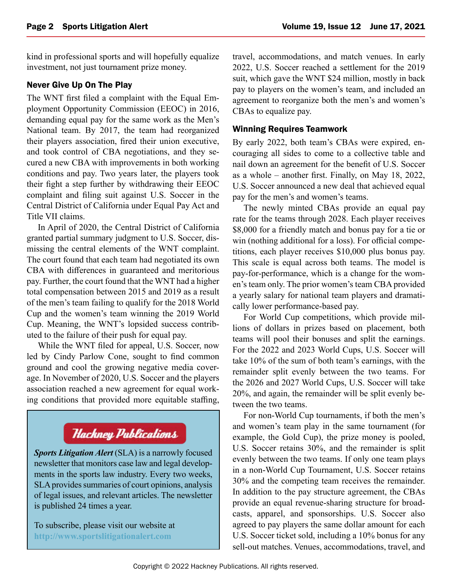kind in professional sports and will hopefully equalize investment, not just tournament prize money.

#### Never Give Up On The Play

The WNT first filed a complaint with the Equal Employment Opportunity Commission (EEOC) in 2016, demanding equal pay for the same work as the Men's National team. By 2017, the team had reorganized their players association, fired their union executive, and took control of CBA negotiations, and they secured a new CBA with improvements in both working conditions and pay. Two years later, the players took their fight a step further by withdrawing their EEOC complaint and filing suit against U.S. Soccer in the Central District of California under Equal Pay Act and Title VII claims.

In April of 2020, the Central District of California granted partial summary judgment to U.S. Soccer, dismissing the central elements of the WNT complaint. The court found that each team had negotiated its own CBA with differences in guaranteed and meritorious pay. Further, the court found that the WNT had a higher total compensation between 2015 and 2019 as a result of the men's team failing to qualify for the 2018 World Cup and the women's team winning the 2019 World Cup. Meaning, the WNT's lopsided success contributed to the failure of their push for equal pay.

While the WNT filed for appeal, U.S. Soccer, now led by Cindy Parlow Cone, sought to find common ground and cool the growing negative media coverage. In November of 2020, U.S. Soccer and the players association reached a new agreement for equal working conditions that provided more equitable staffing,

## **Hackney Publications**

*Sports Litigation Alert* (SLA) is a narrowly focused newsletter that monitors case law and legal developments in the sports law industry. Every two weeks, SLA provides summaries of court opinions, analysis of legal issues, and relevant articles. The newsletter is published 24 times a year.

To subscribe, please visit our website at **<http://www.sportslitigationalert.com>**

travel, accommodations, and match venues. In early 2022, U.S. Soccer reached a settlement for the 2019 suit, which gave the WNT \$24 million, mostly in back pay to players on the women's team, and included an agreement to reorganize both the men's and women's CBAs to equalize pay.

#### Winning Requires Teamwork

By early 2022, both team's CBAs were expired, encouraging all sides to come to a collective table and nail down an agreement for the benefit of U.S. Soccer as a whole – another first. Finally, on May 18, 2022, U.S. Soccer announced a new deal that achieved equal pay for the men's and women's teams.

The newly minted CBAs provide an equal pay rate for the teams through 2028. Each player receives \$8,000 for a friendly match and bonus pay for a tie or win (nothing additional for a loss). For official competitions, each player receives \$10,000 plus bonus pay. This scale is equal across both teams. The model is pay-for-performance, which is a change for the women's team only. The prior women's team CBA provided a yearly salary for national team players and dramatically lower performance-based pay.

For World Cup competitions, which provide millions of dollars in prizes based on placement, both teams will pool their bonuses and split the earnings. For the 2022 and 2023 World Cups, U.S. Soccer will take 10% of the sum of both team's earnings, with the remainder split evenly between the two teams. For the 2026 and 2027 World Cups, U.S. Soccer will take 20%, and again, the remainder will be split evenly between the two teams.

For non-World Cup tournaments, if both the men's and women's team play in the same tournament (for example, the Gold Cup), the prize money is pooled, U.S. Soccer retains 30%, and the remainder is split evenly between the two teams. If only one team plays in a non-World Cup Tournament, U.S. Soccer retains 30% and the competing team receives the remainder. In addition to the pay structure agreement, the CBAs provide an equal revenue-sharing structure for broadcasts, apparel, and sponsorships. U.S. Soccer also agreed to pay players the same dollar amount for each U.S. Soccer ticket sold, including a 10% bonus for any sell-out matches. Venues, accommodations, travel, and